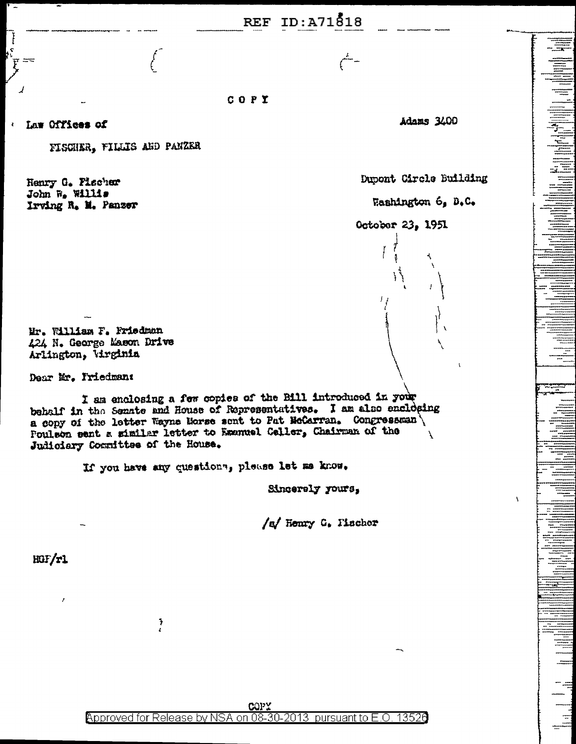COPY

Law Offices of

f

 $\mathbf{z}$ 

 $\sim$ 

FISCHER, FILLIS AND PANZER

Henry G. Placher John W. Willis Irving R. M. Panzer Adams 3400

Damont Circle Building

Eashington 6, D.C.

October 23. 1951

Mr. William F. Friedman 424 N. George Mason Drive Arlington, Virginia

Dear Mr. Friedman:

I am enclosing a few copies of the Bill introduced in your behalf in the Senate and House of Representatives. I am also enclosing a copy of the letter Wayne Morse sent to Pat McCarran. Congressman Poulson sent a mimilar letter to Emanuel Celler, Chairman of the  $\lambda$ Judiciary Committee of the House.

If you have any questions, please let me know.

 $\ddot{\textbf{\i}}$ 

Sincerely yours,

/s/ Henry G. Fischer

 $H0F/r1$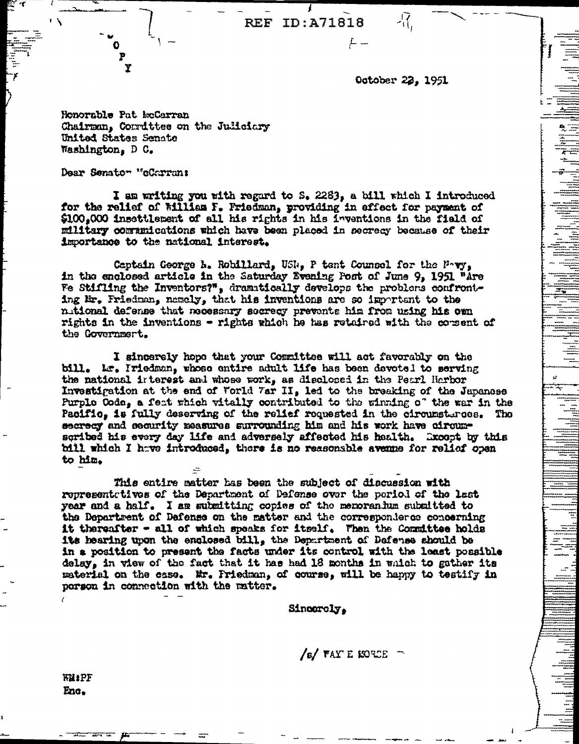October 22, 1951

45

 $\equiv$ 

41,

Honorable Pat EcCarran Chairman, Corruttee on the Juliciary United States Senate Washington, D C.

Dear Senatow "cCarran:

P Y

 $\lambda$ 

I am writing you with regard to S. 2283, a bill which I introduced for the relief of William I. Friedman, providing in effect for payment of \$100,000 insettlement of all his rights in his inventions in the field of military communications which have been placed in secrecy because of their importance to the national interest.

Captain George h. Robillard, USM, P tent Counsel for the Pavy. in the enclosed article in the Saturday Evening Post of June 9, 1951 "Are Fe Stifling the Inventors?", dramatically develops the problems confronting Hr. Friedran, namely, that his inventions are so important to the nitional defense that necessary secrecy prevents him from using his own rights in the inventions - rights which he has retained with the consent of the Governmert.

I sincerely hope that your Committee will act favorably on the bill. Le. Iriedman, whose entire adult life has been devoted to serving the national interest and whose work, as disclosed in the Pearl Harbor Investigation at the end of Forld 7ar II, led to the breaking of the Japanese Purple Code, a feat which vitally contributed to the winning of the war in the Pacific, is fully deserving of the relief requested in the circumstarces. The secrecy and security measures surrounding him and his work have circumscribed his every day life and adversely affected his health. Except by this bill which I have introduced, there is no reasonable avenue for relief open to him.

This entire matter has been the subject of discussion with represent tives of the Department of Defense over the period of the last year and a half. I am submitting copies of the menoranium submitted to the Department of Defense on the matter and the corresponderce concerning it thereafter - all of which speaks for itself. Then the Committee holds its hearing upon the enclosed bill, the Department of Defense should be in a position to present the facts under its control with the least possible delay, in view of the fact that it has had 18 months in which to gather its material on the case. Mr. Priedman, of course, will be happy to testify in porson in connection with the matter.

Sinceroly.

/B/ FAY E MORCE

*THIPF* Enc.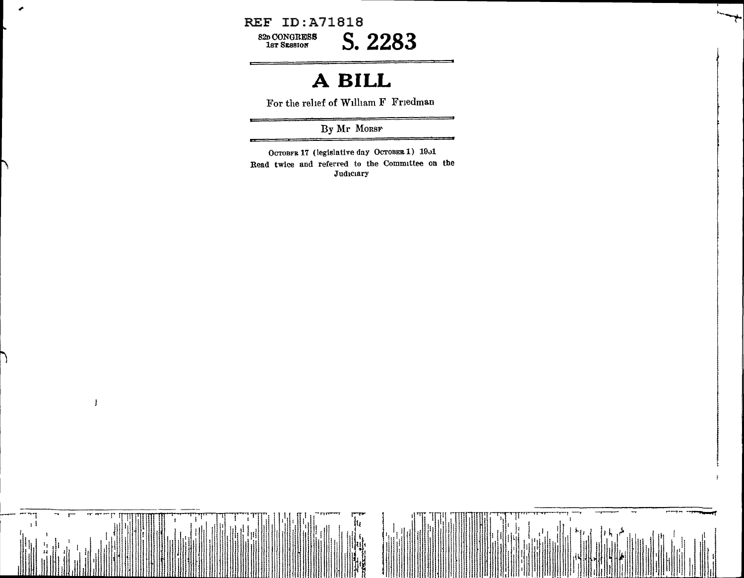

 $\mathbf{J}$ 

 $\cdot$  1

## A BILL

For the relief of William F Friedman

By Mr MORSF

OCTOBFR 17 (legislative day OCTOBER 1) 1901 Read twice and referred to the Committee on the Judiciary